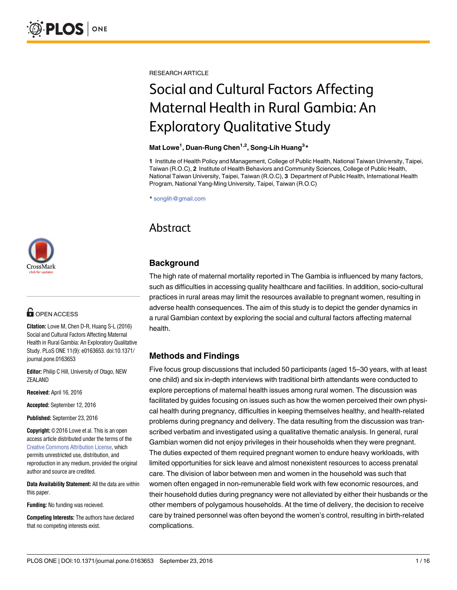[a11111](http://crossmark.crossref.org/dialog/?doi=10.1371/journal.pone.0163653&domain=pdf) CrossMark

# **G** OPEN ACCESS

**Citation:** Lowe M, Chen D-R, Huang S-L (2016) Social and Cultural Factors Affecting Maternal Health in Rural Gambia: An Exploratory Qualitative Study. PLoS ONE 11(9): e0163653. doi:10.1371/ journal.pone.0163653

**Editor:** Philip C Hill, University of Otago, NEW ZEALAND

**Received:** April 16, 2016

**Accepted:** September 12, 2016

**Published:** September 23, 2016

**Copyright:** © 2016 Lowe et al. This is an open access article distributed under the terms of the Creative Commons [Attribution](http://creativecommons.org/licenses/by/4.0/) License, which permits unrestricted use, distribution, and reproduction in any medium, provided the original author and source are credited.

**Data Availability Statement:** All the data are within this paper.

**Funding:** No funding was recieved.

**Competing Interests:** The authors have declared that no competing interests exist.

RESEARCH ARTICLE

# Social and Cultural Factors Affecting Maternal Health in Rural Gambia: An Exploratory Qualitative Study

#### **Mat Lowe<sup>1</sup> , Duan-Rung Chen1,2, Song-Lih Huang3 \***

**1** Institute of Health Policy and Management, College of Public Health, National Taiwan University, Taipei, Taiwan (R.O.C), **2** Institute of Health Behaviors and Community Sciences, College of Public Health, National Taiwan University, Taipei, Taiwan (R.O.C), **3** Department of Public Health, International Health Program, National Yang-Ming University, Taipei, Taiwan (R.O.C)

\* songlih@gmail.com

# Abstract

# **Background**

The high rate of maternal mortality reported in The Gambia is influenced by many factors, such as difficulties in accessing quality healthcare and facilities. In addition, socio-cultural practices in rural areas may limit the resources available to pregnant women, resulting in adverse health consequences. The aim of this study is to depict the gender dynamics in a rural Gambian context by exploring the social and cultural factors affecting maternal health.

# **Methods and Findings**

Five focus group discussions that included 50 participants (aged 15–30 years, with at least one child) and six in-depth interviews with traditional birth attendants were conducted to explore perceptions of maternal health issues among rural women. The discussion was facilitated by guides focusing on issues such as how the women perceived their own physical health during pregnancy, difficulties in keeping themselves healthy, and health-related problems during pregnancy and delivery. The data resulting from the discussion was transcribed verbatim and investigated using a qualitative thematic analysis. In general, rural Gambian women did not enjoy privileges in their households when they were pregnant. The duties expected of them required pregnant women to endure heavy workloads, with limited opportunities for sick leave and almost nonexistent resources to access prenatal care. The division of labor between men and women in the household was such that women often engaged in non-remunerable field work with few economic resources, and their household duties during pregnancy were not alleviated by either their husbands or the other members of polygamous households. At the time of delivery, the decision to receive care by trained personnel was often beyond the women's control, resulting in birth-related complications.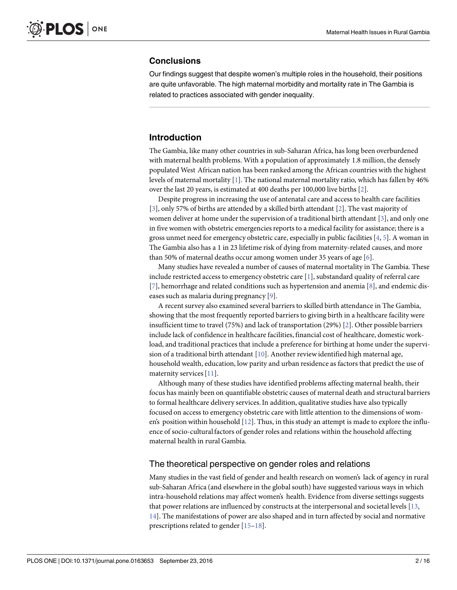#### <span id="page-1-0"></span>**Conclusions**

Our findings suggest that despite women's multiple roles in the household, their positions are quite unfavorable. The high maternal morbidity and mortality rate in The Gambia is related to practices associated with gender inequality.

# **Introduction**

The Gambia, like many other countries in sub-Saharan Africa, has long been overburdened with maternal health problems. With a population of approximately 1.8 million, the densely populated West African nation has been ranked among the African countries with the highest levels of maternal mortality [\[1](#page-12-0)]. The national maternal mortality ratio, which has fallen by 46% over the last 20 years, is estimated at 400 deaths per 100,000 live births [\[2](#page-12-0)].

Despite progress in increasing the use of antenatal care and access to health care facilities [\[3](#page-12-0)], only 57% of births are attended by a skilled birth attendant [\[2](#page-12-0)]. The vast majority of women deliver at home under the supervision of a traditional birth attendant [[3\]](#page-12-0), and only one in five women with obstetric emergencies reports to a medical facility for assistance; there is a gross unmet need for emergency obstetric care, especially in public facilities  $[4, 5]$  $[4, 5]$  $[4, 5]$  $[4, 5]$ . A woman in The Gambia also has a 1 in 23 lifetime risk of dying from maternity-related causes, and more than 50% of maternal deaths occur among women under 35 years of age [[6](#page-12-0)].

Many studies have revealed a number of causes of maternal mortality in The Gambia. These include restricted access to emergency obstetric care [\[1](#page-12-0)], substandard quality of referral care [\[7](#page-12-0)], hemorrhage and related conditions such as hypertension and anemia [[8](#page-12-0)], and endemic diseases such as malaria during pregnancy [\[9](#page-12-0)].

A recent survey also examined several barriers to skilled birth attendance in The Gambia, showing that the most frequently reported barriers to giving birth in a healthcare facility were insufficient time to travel (75%) and lack of transportation (29%) [[2\]](#page-12-0). Other possible barriers include lack of confidence in healthcare facilities, financial cost of healthcare, domestic workload, and traditional practices that include a preference for birthing at home under the supervision of a traditional birth attendant [\[10\]](#page-13-0). Another reviewidentified high maternal age, household wealth, education, low parity and urban residence as factors that predict the use of maternity services [[11](#page-13-0)].

Although many of these studies have identified problems affecting maternal health, their focus has mainly been on quantifiable obstetric causes of maternal death and structural barriers to formal healthcare delivery services.In addition, qualitative studies have also typically focused on access to emergency obstetric care with little attention to the dimensions of women's position within household  $[12]$ . Thus, in this study an attempt is made to explore the influence of socio-culturalfactors of gender roles and relations within the household affecting maternal health in rural Gambia.

#### The theoretical perspective on gender roles and relations

Many studies in the vast field of gender and health research on women's lack of agency in rural sub-Saharan Africa (and elsewhere in the globalsouth) have suggested various ways in which intra-household relations may affect women's health. Evidence from diverse settings suggests that power relations are influenced by constructs at the interpersonal and societal levels [\[13](#page-13-0), [14\]](#page-13-0). The manifestations of power are also shaped and in turn affected by social and normative prescriptions related to gender [[15–18](#page-13-0)].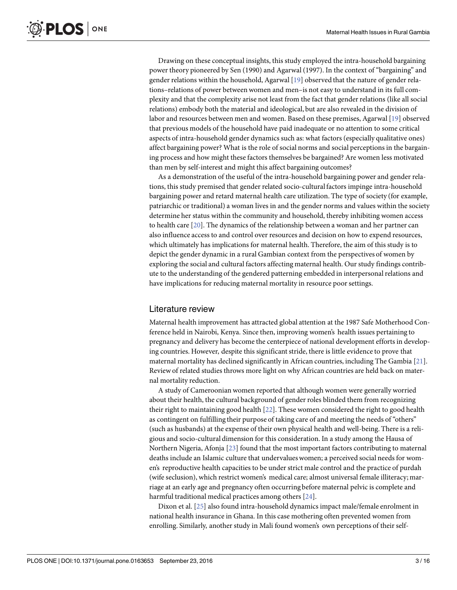<span id="page-2-0"></span>Drawing on these conceptual insights, this study employed the intra-household bargaining power theory pioneered by Sen (1990) and Agarwal (1997). In the context of "bargaining" and gender relations within the household, Agarwal [\[19\]](#page-13-0) observed that the nature of gender relations–relations of power betweenwomen and men–is not easy to understand in its full complexity and that the complexity arise not least from the fact that gender relations (like all social relations) embody both the material and ideological, but are also revealed in the division of labor and resources between men and women. Based on these premises, Agarwal [[19](#page-13-0)] observed that previous models of the household have paid inadequate or no attention to some critical aspects of intra-household gender dynamics such as: what factors (especially qualitative ones) affect bargaining power? What is the role of social norms and social perceptions in the bargaining process and how might these factors themselves be bargained? Are women less motivated than men by self-interest and might this affect bargaining outcomes?

As a demonstration of the useful of the intra-household bargaining power and gender relations, this study premised that gender related socio-culturalfactors impinge intra-household bargaining power and retard maternal health care utilization. The type of society (for example, patriarchic or traditional) a woman lives in and the gender norms and values within the society determine her status within the community and household, thereby inhibiting women access to health care [\[20\]](#page-13-0). The dynamics of the relationship between a woman and her partner can also influence access to and control over resources and decision on how to expend resources, which ultimately has implications for maternal health. Therefore, the aim of this study is to depict the gender dynamic in a rural Gambian context from the perspectives of women by exploring the social and cultural factors affecting maternal health. Our study findings contribute to the understanding of the gendered patterning embedded in interpersonalrelations and have implications for reducing maternal mortality in resource poor settings.

#### Literature review

Maternal health improvement has attracted global attention at the 1987 Safe Motherhood Conference held in Nairobi, Kenya. Since then, improving women's health issues pertaining to pregnancy and delivery has become the centerpiece of national development efforts in developing countries. However, despite this significant stride, there is little evidence to prove that maternal mortality has declined significantly in African countries, including The Gambia [[21](#page-13-0)]. Reviewof related studies throws more light on why African countries are held back on maternal mortality reduction.

A study of Cameroonian women reported that although women were generally worried about their health, the cultural background of gender roles blinded them from recognizing their right to maintaining good health [[22](#page-13-0)]. These women considered the right to good health as contingent on fulfilling their purpose of taking care of and meeting the needs of "others" (such as husbands) at the expense of their own physical health and well-being. There is a religious and socio-cultural dimension for this consideration. In a study among the Hausa of Northern Nigeria, Afonja [\[23](#page-13-0)] found that the most important factors contributing to maternal deaths include an Islamic culture that undervalueswomen; a perceived social needs for women's reproductive health capacities to be under strict male control and the practice of purdah (wife seclusion), which restrict women's medical care; almost universal female illiteracy;marriage at an early age and pregnancy often occurring before maternal pelvic is complete and harmful traditional medical practices among others [\[24\]](#page-13-0).

Dixon et al. [\[25\]](#page-13-0) also found intra-household dynamics impact male/female enrolment in national health insurance in Ghana. In this case mothering often prevented women from enrolling. Similarly, another study in Mali found women's own perceptions of their self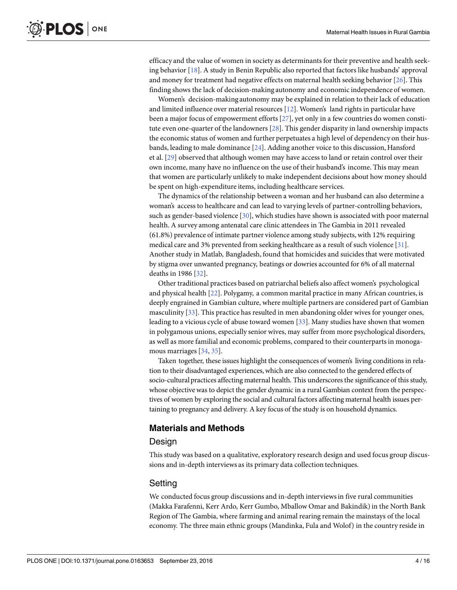<span id="page-3-0"></span>efficacy and the value of women in society as determinants for their preventive and health seeking behavior [\[18\]](#page-13-0). A study in Benin Republic also reported that factors like husbands' approval and money for treatment had negative effects on maternal health seeking behavior [[26](#page-13-0)]. This finding shows the lack of decision-making autonomy and economic independence of women.

Women's decision-making autonomy may be explained in relation to their lack of education and limited influence over material resources [\[12\]](#page-13-0). Women's land rights in particular have been a major focus of empowerment efforts [[27](#page-13-0)], yet only in a few countries do women constitute even one-quarter of the landowners [\[28](#page-13-0)]. This gender disparity in land ownership impacts the economic status of women and further perpetuates a high level of dependency on their husbands, leading to male dominance [[24\]](#page-13-0). Adding another voice to this discussion, Hansford et al. [\[29\]](#page-13-0) observed that although women may have access to land or retain control over their own income, many have no influence on the use of their husband's income. This may mean that women are particularly unlikely to make independent decisions about how money should be spent on high-expenditure items, including healthcare services.

The dynamics of the relationship between a woman and her husband can also determine a woman's access to healthcare and can lead to varying levels of partner-controlling behaviors, such as gender-based violence [\[30](#page-13-0)], which studies have shown is associated with poor maternal health. A survey among antenatal care clinic attendees in The Gambia in 2011 revealed (61.8%) prevalence of intimate partner violence among study subjects, with 12% requiring medical care and 3% prevented from seeking healthcare as a result of such violence [[31](#page-13-0)]. Another study in Matlab, Bangladesh, found that homicides and suicides that were motivated by stigma over unwanted pregnancy, beatings or dowries accounted for 6% of all maternal deaths in 1986 [[32\]](#page-13-0).

Other traditional practices based on patriarchal beliefs also affect women's psychological and physical health [\[22\]](#page-13-0). Polygamy, a common marital practice in many African countries, is deeply engrained in Gambian culture, where multiple partners are considered part of Gambian masculinity [[33\]](#page-13-0). This practice has resulted in men abandoning older wives for younger ones, leading to a vicious cycle of abuse toward women [[33](#page-13-0)]. Many studies have shown that women in polygamous unions, especially senior wives, may suffer from more psychological disorders, as well as more familial and economic problems, compared to their counterpartsin monogamous marriages [\[34,](#page-13-0) [35\]](#page-14-0).

Taken together, these issues highlight the consequences of women's living conditions in relation to their disadvantaged experiences, which are also connected to the gendered effects of socio-cultural practices affecting maternal health. This underscores the significance of this study, whose objective was to depict the gender dynamic in a rural Gambian context from the perspectives of women by exploring the social and cultural factors affecting maternal health issues pertaining to pregnancy and delivery. A key focus of the study is on household dynamics.

#### **Materials and Methods**

#### Design

This study was based on a qualitative, exploratory research design and used focus group discussions and in-depth interviews as its primary data collection techniques.

#### Setting

We conducted focus group discussions and in-depth interviewsin five rural communities (Makka Farafenni, Kerr Ardo, Kerr Gumbo, Mballow Omar and Bakindik) in the North Bank Region of The Gambia, where farming and animal rearing remain the mainstays of the local economy. The three main ethnic groups (Mandinka, Fula and Wolof) in the country reside in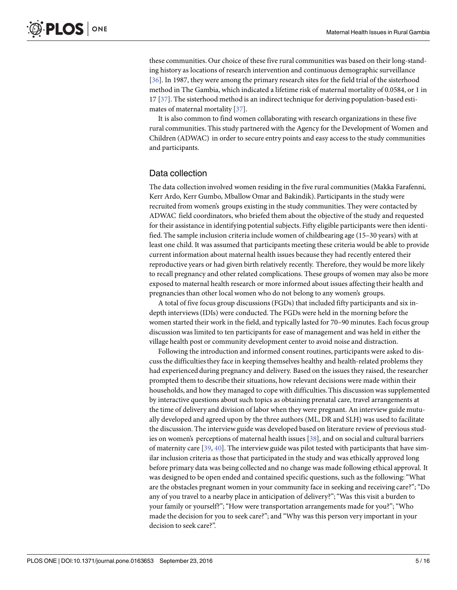<span id="page-4-0"></span>these communities. Our choice of these five rural communities was based on their long-standing history as locations of research intervention and continuous demographic surveillance [\[36](#page-14-0)]. In 1987, they were among the primary research sites for the field trial of the sisterhood method in The Gambia, which indicated a lifetime risk of maternal mortality of 0.0584, or 1 in 17 [\[37\]](#page-14-0). The sisterhood method is an indirect technique for deriving population-based estimates of maternal mortality [\[37\]](#page-14-0).

It is also common to find women collaborating with research organizations in these five rural communities. This study partnered with the Agency for the Development of Women and Children (ADWAC) in order to secure entry points and easy access to the study communities and participants.

#### Data collection

The data collection involved women residing in the five rural communities (Makka Farafenni, Kerr Ardo, Kerr Gumbo, Mballow Omar and Bakindik). Participants in the study were recruited from women's groups existing in the study communities. They were contacted by ADWAC field coordinators, who briefed them about the objective of the study and requested for their assistance in identifying potential subjects. Fifty eligible participants were then identified. The sample inclusion criteria include women of childbearing age (15–30 years) with at least one child. It was assumed that participants meeting these criteria would be able to provide current information about maternal health issues because they had recently entered their reproductive years or had given birth relatively recently. Therefore, they would be more likely to recall pregnancy and other related complications. These groups of women may also be more exposed to maternal health research or more informed about issues affecting their health and pregnancies than other local women who do not belong to any women's groups.

A total of five focus group discussions (FGDs) that included fifty participants and six indepth interviews(IDIs) were conducted. The FGDs were held in the morning before the women started their work in the field, and typically lasted for 70–90 minutes. Each focus group discussion was limited to ten participants for ease of management and was held in either the village health post or community development center to avoid noise and distraction.

Following the introduction and informed consent routines, participants were asked to discuss the difficultiesthey face in keeping themselves healthy and health-related problems they had experienced during pregnancy and delivery. Based on the issues they raised, the researcher prompted them to describe their situations, how relevant decisions were made within their households, and how they managed to cope with difficulties.This discussionwas supplemented by interactive questions about such topics as obtaining prenatal care, travel arrangements at the time of delivery and division of labor when they were pregnant. An interview guide mutually developed and agreed upon by the three authors (ML, DR and SLH) was used to facilitate the discussion. The interviewguide was developed based on literature review of previous studies on women's perceptions of maternal health issues [[38](#page-14-0)], and on social and cultural barriers of maternity care [\[39,](#page-14-0) [40\]](#page-14-0). The interviewguide was pilot tested with participants that have similar inclusion criteria as those that participated in the study and was ethically approved long before primary data was being collected and no change was made following ethical approval. It was designed to be open ended and contained specific questions, such as the following:"What are the obstacles pregnant women in your community face in seeking and receiving care?"; "Do any of you travel to a nearby place in anticipation of delivery?";"Was this visit a burden to your family or yourself?"; "How were transportation arrangements made for you?"; "Who made the decision for you to seek care?"; and "Why was this person very important in your decision to seek care?".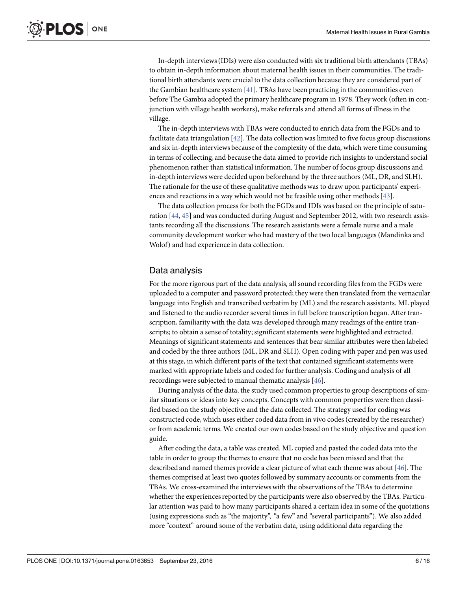<span id="page-5-0"></span>In-depth interviews(IDIs) were also conducted with six traditional birth attendants (TBAs) to obtain in-depth information about maternal health issues in their communities. The traditional birth attendants were crucial to the data collection because they are considered part of the Gambian healthcare system [\[41\]](#page-14-0). TBAs have been practicing in the communities even before The Gambia adopted the primary healthcare program in 1978. They work (often in conjunction with village health workers), make referrals and attend all forms of illness in the village.

The in-depth interviewswith TBAs were conducted to enrich data from the FGDs and to facilitate data triangulation  $[42]$  $[42]$  $[42]$ . The data collection was limited to five focus group discussions and six in-depth interviews because of the complexity of the data, which were time consuming in terms of collecting, and because the data aimed to provide rich insights to understand social phenomenon rather than statistical information. The number of focus group discussions and in-depth interviewswere decided upon beforehand by the three authors (ML, DR, and SLH). The rationale for the use of these qualitative methods was to draw upon participants' experiences and reactions in a way which would not be feasible using other methods [\[43\]](#page-14-0).

The data collection process for both the FGDs and IDIs was based on the principle of saturation [[44](#page-14-0), [45](#page-14-0)] and was conducted during August and September 2012, with two research assistants recording all the discussions. The research assistants were a female nurse and a male community development worker who had mastery of the two local languages (Mandinka and Wolof) and had experience in data collection.

#### Data analysis

For the more rigorous part of the data analysis, all sound recording files from the FGDs were uploaded to a computer and password protected; they were then translated from the vernacular language into English and transcribed verbatim by (ML) and the research assistants. ML played and listened to the audio recorder several times in full before transcription began. After transcription, familiarity with the data was developed through many readings of the entire transcripts; to obtain a sense of totality; significant statements were highlighted and extracted. Meanings of significant statements and sentences that bear similar attributes were then labeled and coded by the three authors (ML, DR and SLH). Open coding with paper and pen was used at this stage, in which different parts of the text that contained significant statements were marked with appropriate labels and coded for further analysis. Coding and analysis of all recordings were subjected to manual thematic analysis [[46\]](#page-14-0).

During analysis of the data, the study used common propertiesto group descriptions of similar situations or ideas into key concepts. Concepts with common properties were then classified based on the study objective and the data collected.The strategy used for coding was constructed code, which uses either coded data from in vivo codes(created by the researcher) or from academic terms. We created our own codes based on the study objective and question guide.

After coding the data, a table was created. ML copied and pasted the coded data into the table in order to group the themes to ensure that no code has been missed and that the described and named themes provide a clear picture of what each theme was about [\[46\]](#page-14-0). The themes comprised at least two quotes followed by summary accounts or comments from the TBAs. We cross-examined the interviewswith the observations of the TBAs to determine whether the experiences reported by the participants were also observed by the TBAs. Particular attention was paid to how many participants shared a certain idea in some of the quotations (using expressions such as "the majority", "a few" and "several participants"). We also added more "context" around some of the verbatim data, using additional data regarding the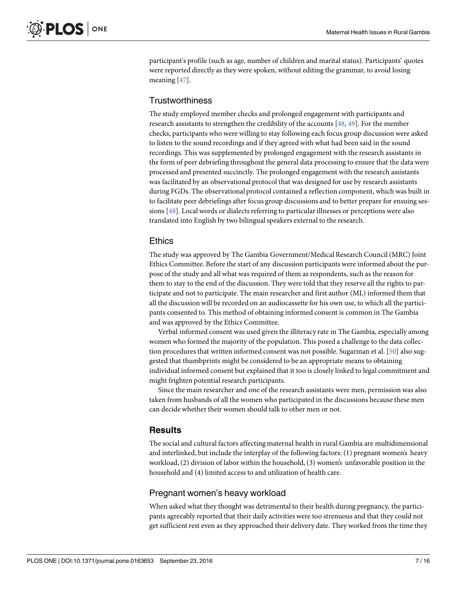<span id="page-6-0"></span>participant's profile (such as age, number of children and marital status). Participants' quotes were reported directly as they were spoken, without editing the grammar, to avoid losing meaning [\[47\]](#page-14-0).

#### **Trustworthiness**

The study employed member checks and prolonged engagement with participants and research assistants to strengthen the credibility of the accounts [\[48,](#page-14-0) [49](#page-14-0)]. For the member checks, participants who were willing to stay following each focus group discussion were asked to listen to the sound recordings and if they agreed with what had been said in the sound recordings. This was supplemented by prolonged engagement with the research assistants in the form of peer debriefing throughout the general data processing to ensure that the data were processed and presented succinctly. The prolonged engagement with the research assistants was facilitated by an observational protocol that was designed for use by research assistants during FGDs. The observational protocol contained a reflection component, which was built in to facilitate peer debriefings after focus group discussions and to better prepare for ensuing ses-sions [[48\]](#page-14-0). Local words or dialects referring to particular illnesses or perceptions were also translated into English by two bilingual speakers external to the research.

#### **Ethics**

The study was approved by The Gambia Government/Medical Research Council(MRC) Joint Ethics Committee. Before the start of any discussion participants were informed about the purpose of the study and all what was required of them as respondents, such as the reason for them to stay to the end of the discussion. They were told that they reserve all the rights to participate and not to participate. The main researcher and first author (ML) informed them that all the discussion will be recorded on an audiocassette for his own use, to which all the participants consented to. This method of obtaining informed consent is common in The Gambia and was approved by the Ethics Committee.

Verbal informed consent was used given the illiteracy rate in The Gambia, especially among women who formed the majority of the population. This posed a challenge to the data collection procedures that written informed consent was not possible. Sugarman et al. [\[50\]](#page-14-0) also suggested that thumbprints might be considered to be an appropriate means to obtaining individual informed consent but explained that it too is closely linked to legal commitment and might frighten potential research participants.

Since the main researcher and one of the research assistants were men, permission was also taken from husbands of all the women who participated in the discussions because these men can decide whether their women should talk to other men or not.

# **Results**

The social and cultural factors affecting maternal health in rural Gambia are multidimensional and interlinked, but include the interplay of the following factors: (1) pregnant women's heavy workload, (2) division of labor within the household, (3) women's unfavorable position in the household and (4) limited access to and utilization of health care.

#### Pregnant women's heavy workload

When asked what they thought was detrimental to their health during pregnancy, the participants agreeably reported that their daily activities were too strenuous and that they could not get sufficient rest even as they approached their delivery date. They worked from the time they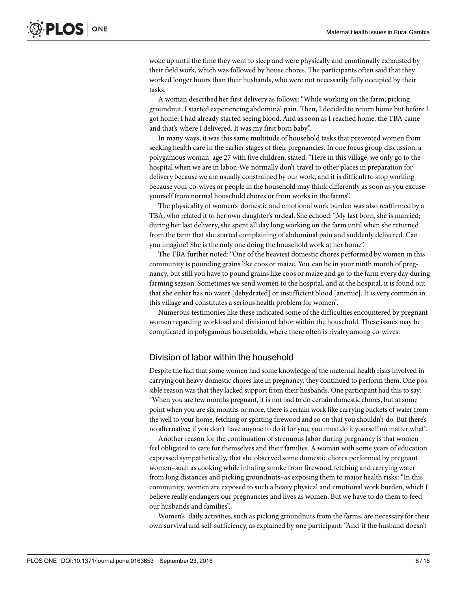woke up until the time they went to sleep and were physically and emotionally exhausted by their field work, which was followed by house chores. The participants often said that they worked longer hours than their husbands, who were not necessarily fully occupied by their tasks.

A woman described her first delivery as follows:"While working on the farm; picking groundnut, I started experiencing abdominal pain. Then, I decided to return home but before I got home; I had already started seeing blood. And as soon as I reached home, the TBA came and that's where I delivered. It was my first born baby".

In many ways, it was this same multitude of household tasks that prevented women from seeking health care in the earlier stages of their pregnancies. In one focus group discussion, a polygamous woman, age 27 with five children, stated: "Here in this village, we only go to the hospital when we are in labor. We normally don't travel to other places in preparation for delivery because we are usually constrained by our work, and it is difficult to stop working because your co-wives or people in the household may think differently as soon as you excuse yourself from normal household chores or from works in the farms".

The physicality of women's domestic and emotional work burden was also reaffirmed by a TBA, who related it to her own daughter's ordeal. She echoed:"My last born,she is married; during her last delivery, she spent all day long working on the farm until when she returned from the farm that she started complaining of abdominal pain and suddenly delivered. Can you imagine? She is the only one doing the household work at her home".

The TBA further noted:"One of the heaviest domestic chores performed by women in this community is pounding grains like coos or maize. You can be in your ninth month of pregnancy, but still you have to pound grains like coos or maize and go to the farm every day during farming season. Sometimes we send women to the hospital, and at the hospital, it is found out that she either has no water [dehydrated] or insufficient blood [anemic]. It is very common in this village and constitutes a serious health problem for women".

Numerous testimonies like these indicated some of the difficulties encountered by pregnant women regarding workload and division of labor within the household. These issues may be complicated in polygamous households, where there often is rivalry among co-wives.

#### Division of labor within the household

Despite the fact that some women had some knowledge of the maternal health risks involved in carrying out heavy domestic chores late in pregnancy, they continued to perform them. One possible reason was that they lacked support from their husbands. One participant had this to say: "When you are few months pregnant, it is not bad to do certain domestic chores, but at some point when you are six months or more, there is certainwork like carrying buckets of water from the well to your home, fetching or splitting firewood and so on that you shouldn't do. But there's no alternative; if you don't have anyone to do it for you, you must do it yourself no matter what".

Another reason for the continuation of strenuous labor during pregnancy is that women feel obligated to care for themselves and their families. A woman with some years of education expressed sympathetically, that she observed some domestic chores performed by pregnant women-such as cooking while inhaling smoke from firewood, fetching and carrying water from long distances and picking groundnuts–as exposing them to major health risks:"In this community, women are exposed to such a heavy physical and emotional work burden, which I believe really endangers our pregnancies and lives as women. But we have to do them to feed our husbands and families".

Women's daily activities, such as picking groundnuts from the farms, are necessary for their own survival and self-sufficiency, as explained by one participant:"And if the husband doesn't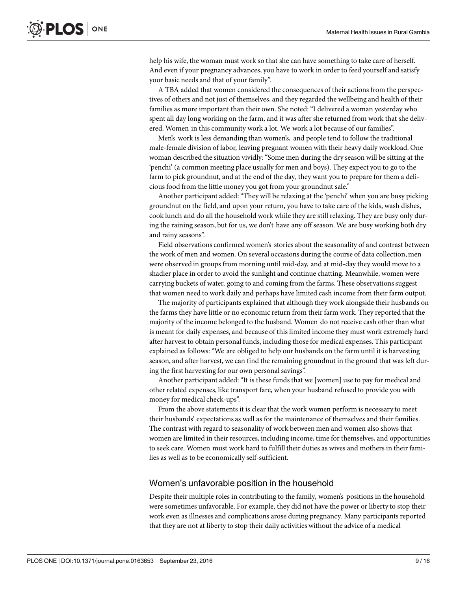help his wife, the woman must work so that she can have something to take care of herself. And even if your pregnancy advances, you have to work in order to feed yourself and satisfy your basic needs and that of your family".

A TBA added that women considered the consequences of their actions from the perspectives of others and not just of themselves, and they regarded the wellbeing and health of their families as more important than their own. She noted:"I delivered a woman yesterday who spent all day long working on the farm, and it was after she returned from work that she delivered. Women in this community work a lot. We work a lot because of our families".

Men's work is less demanding than women's, and people tend to follow the traditional male-female division of labor, leaving pregnant women with their heavy daily workload. One woman described the situation vividly:"Some men during the dry season will be sitting at the 'penchi' (a common meeting place usually for men and boys). They expect you to go to the farm to pick groundnut, and at the end of the day, they want you to prepare for them a delicious food from the little money you got from your groundnut sale."

Another participant added:"They will be relaxing at the 'penchi' when you are busy picking groundnut on the field, and upon your return, you have to take care of the kids, wash dishes, cook lunch and do all the household work while they are still relaxing. They are busy only during the raining season, but for us, we don't have any off season. We are busy working both dry and rainy seasons".

Field observations confirmedwomen's stories about the seasonality of and contrast between the work of men and women. On several occasions during the course of data collection, men were observed in groups from morning until mid-day, and at mid-day they would move to a shadier place in order to avoid the sunlight and continue chatting. Meanwhile, women were carrying buckets of water, going to and coming from the farms. These observationssuggest that women need to work daily and perhaps have limited cash income from their farm output.

The majority of participants explained that although they work alongside their husbands on the farms they have little or no economic return from their farm work. They reported that the majority of the income belonged to the husband. Women do not receive cash other than what is meant for daily expenses, and because of this limited income they must work extremely hard after harvest to obtain personal funds, including those for medical expenses. This participant explained as follows:"We are obliged to help our husbands on the farm until it is harvesting season, and after harvest, we can find the remaining groundnut in the ground that was left during the first harvesting for our own personal savings".

Another participant added:"It is these funds that we [women] use to pay for medical and other related expenses, like transport fare, when your husband refused to provide you with money for medical check-ups".

From the above statements it is clear that the work women perform is necessary to meet their husbands' expectations as well as for the maintenance of themselves and their families. The contrast with regard to seasonality of work between men and women also shows that women are limited in their resources, including income, time for themselves, and opportunities to seek care. Women must work hard to fulfill their duties as wives and mothers in their families as well as to be economically self-sufficient.

#### Women's unfavorable position in the household

Despite their multiple roles in contributing to the family, women's positions in the household were sometimes unfavorable. For example, they did not have the power or liberty to stop their work even as illnesses and complications arose during pregnancy. Many participants reported that they are not at liberty to stop their daily activities without the advice of a medical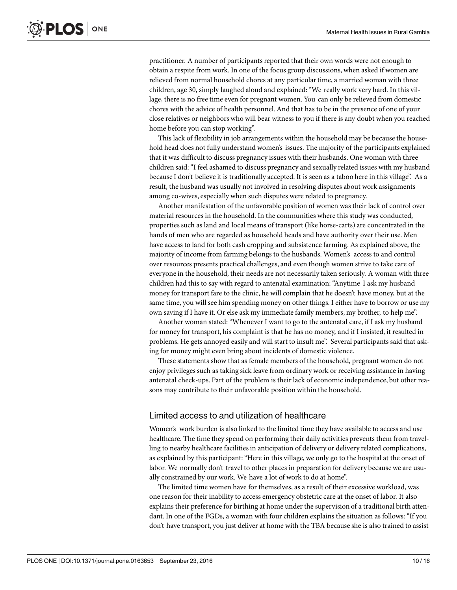practitioner. A number of participants reported that their own words were not enough to obtain a respite from work. In one of the focus group discussions, when asked if women are relieved from normal household chores at any particular time, a married woman with three children, age 30, simply laughed aloud and explained:"We really work very hard. In this village, there is no free time even for pregnant women. You can only be relieved from domestic chores with the advice of health personnel. And that has to be in the presence of one of your close relatives or neighbors who will bear witness to you if there is any doubt when you reached home before you can stop working".

This lack of flexibility in job arrangements within the household may be because the household head does not fully understand women's issues. The majority of the participants explained that it was difficult to discuss pregnancy issues with their husbands. One woman with three children said:"I feel ashamed to discuss pregnancy and sexually related issues with my husband because I don't believe it is traditionally accepted. It is seen as a taboo here in this village". As a result, the husband was usually not involved in resolving disputes about work assignments among co-wives, especially when such disputes were related to pregnancy.

Another manifestation of the unfavorable position of women was their lack of control over material resources in the household. In the communities where this study was conducted, propertiessuch as land and local means of transport (like horse-carts) are concentrated in the hands of men who are regarded as household heads and have authority over their use. Men have access to land for both cash cropping and subsistence farming. As explained above, the majority of income from farming belongs to the husbands. Women's access to and control over resources presents practical challenges, and even though women strive to take care of everyone in the household, their needs are not necessarily taken seriously. A woman with three children had this to say with regard to antenatal examination:"Anytime I ask my husband money for transport fare to the clinic, he will complain that he doesn't have money, but at the same time, you will see him spending money on other things. I either have to borrow or use my own saving if I have it. Or else ask my immediate family members, my brother, to help me".

Another woman stated: "Whenever I want to go to the antenatal care, if I ask my husband for money for transport, his complaint is that he has no money, and if I insisted, it resulted in problems. He gets annoyed easily and will start to insult me". Several participants said that asking for money might even bring about incidents of domestic violence.

These statements show that as female members of the household, pregnant women do not enjoy privilegessuch as taking sick leave from ordinary work or receiving assistance in having antenatal check-ups. Part of the problem is their lack of economic independence, but other reasons may contribute to their unfavorable position within the household.

#### Limited access to and utilization of healthcare

Women's work burden is also linked to the limited time they have available to access and use healthcare. The time they spend on performing their daily activities prevents them from travelling to nearby healthcare facilities in anticipation of delivery or delivery related complications, as explained by this participant:"Here in this village, we only go to the hospital at the onset of labor. We normally don't travel to other places in preparation for delivery because we are usually constrained by our work. We have a lot of work to do at home".

The limited time women have for themselves, as a result of their excessive workload, was one reason for their inability to access emergency obstetric care at the onset of labor. It also explains their preference for birthing at home underthe supervision of a traditional birth attendant. In one of the FGDs, a woman with four children explains the situation as follows: "If you don't have transport, you just deliver at home with the TBA because she is also trained to assist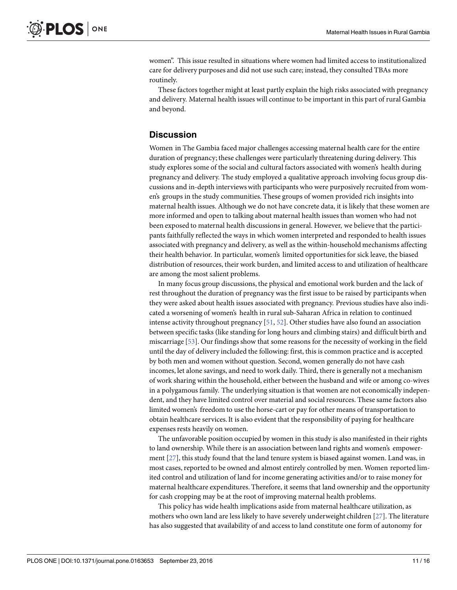<span id="page-10-0"></span>women". This issue resulted in situations where women had limited access to institutionalized care for delivery purposes and did not use such care; instead, they consulted TBAs more routinely.

These factors together might at least partly explain the high risks associated with pregnancy and delivery. Maternal health issues will continue to be important in this part of rural Gambia and beyond.

# **Discussion**

Women in The Gambia faced major challenges accessing maternal health care for the entire duration of pregnancy;these challenges were particularly threatening during delivery. This study explores some of the social and cultural factors associated with women's health during pregnancy and delivery. The study employed a qualitative approach involving focus group discussions and in-depth interviewswith participants who were purposively recruited from women's groups in the study communities. These groups of women provided rich insights into maternal health issues. Although we do not have concrete data, it is likely that these women are more informed and open to talking about maternal health issues than women who had not been exposed to maternal health discussionsin general. However, we believe that the participants faithfully reflected the ways in which women interpreted and responded to health issues associated with pregnancy and delivery, as well as the within-household mechanisms affecting their health behavior. In particular, women's limited opportunities for sick leave, the biased distribution of resources, their work burden, and limited access to and utilization of healthcare are among the most salient problems.

In many focus group discussions, the physical and emotional work burden and the lack of rest throughout the duration of pregnancy was the first issue to be raised by participants when they were asked about health issues associated with pregnancy. Previous studies have also indicated a worsening of women's health in ruralsub-Saharan Africa in relation to continued intense activity throughout pregnancy [[51](#page-14-0), [52](#page-14-0)]. Other studies have also found an association between specific tasks (like standing for long hours and climbing stairs) and difficult birth and miscarriage [[53](#page-14-0)]. Our findingsshow that some reasons for the necessity of working in the field until the day of delivery included the following: first, this is common practice and is accepted by both men and women without question. Second, women generally do not have cash incomes, let alone savings, and need to work daily. Third, there is generally not a mechanism of work sharing within the household, either between the husband and wife or among co-wives in a polygamous family. The underlying situation is that women are not economically independent, and they have limited control over material and social resources. These same factors also limited women's freedom to use the horse-cart or pay for other means of transportation to obtain healthcare services.It is also evident that the responsibility of paying for healthcare expenses rests heavily on women.

The unfavorable position occupied by women in this study is also manifested in their rights to land ownership. While there is an association between land rights and women's empowerment [\[27](#page-13-0)], this study found that the land tenure system is biased against women. Land was, in most cases, reported to be owned and almost entirely controlled by men. Women reported limited control and utilization of land for income generating activities and/or to raise money for maternal healthcare expenditures. Therefore, it seems that land ownership and the opportunity for cash cropping may be at the root of improving maternal health problems.

This policy has wide health implications aside from maternal healthcare utilization, as mothers who own land are less likely to have severely underweight children [\[27\]](#page-13-0). The literature has also suggested that availability of and access to land constitute one form of autonomy for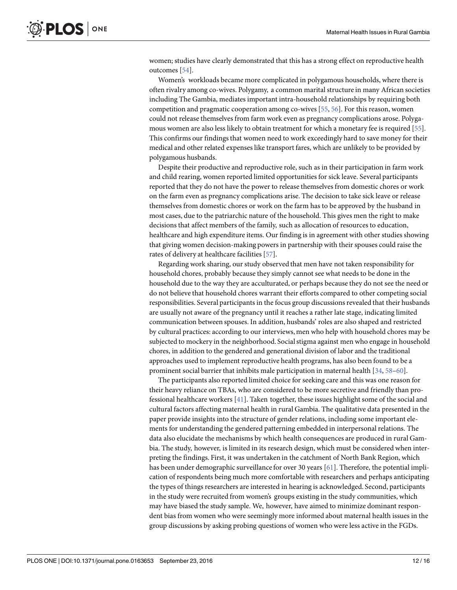<span id="page-11-0"></span>women; studies have clearly demonstrated that this has a strong effect on reproductive health outcomes [[54\]](#page-14-0).

Women's workloads became more complicated in polygamous households, where there is often rivalry among co-wives. Polygamy, a common marital structure in many African societies including The Gambia, mediates important intra-household relationships by requiring both competition and pragmatic cooperation among co-wives [[55](#page-14-0), [56](#page-14-0)]. For this reason, women could not release themselves from farm work even as pregnancy complications arose. Polygamous women are also less likely to obtain treatment for which a monetary fee is required [\[55](#page-14-0)]. This confirms our findings that women need to work exceedingly hard to save money for their medical and other related expenseslike transport fares, which are unlikely to be provided by polygamous husbands.

Despite their productive and reproductive role, such as in their participation in farm work and child rearing, women reported limited opportunities for sick leave. Several participants reported that they do not have the power to release themselves from domestic chores or work on the farm even as pregnancy complications arise. The decision to take sick leave or release themselves from domestic chores or work on the farm has to be approved by the husband in most cases, due to the patriarchic nature of the household. This gives men the right to make decisions that affect members of the family, such as allocation of resources to education, healthcare and high expenditure items. Our finding is in agreement with other studies showing that giving women decision-making powers in partnership with their spouses could raise the rates of delivery at healthcare facilities[\[57\]](#page-14-0).

Regarding work sharing, our study observed that men have not taken responsibility for household chores, probably because they simply cannot see what needs to be done in the household due to the way they are acculturated, or perhaps because they do not see the need or do not believe that household chores warrant their efforts compared to other competing social responsibilities. Several participants in the focus group discussionsrevealed that their husbands are usually not aware of the pregnancy until it reaches a rather late stage, indicating limited communication between spouses. In addition, husbands' roles are also shaped and restricted by cultural practices: according to our interviews, men who help with household chores may be subjected to mockery in the neighborhood. Socialstigma against men who engage in household chores, in addition to the gendered and generational division of labor and the traditional approaches used to implement reproductive health programs, has also been found to be a prominent social barrier that inhibits male participation in maternal health  $[34, 58-60]$  $[34, 58-60]$  $[34, 58-60]$  $[34, 58-60]$ .

The participants also reported limited choice for seeking care and this was one reason for their heavy reliance on TBAs, who are considered to be more secretive and friendly than professional healthcare workers [\[41\]](#page-14-0). Taken together, these issues highlight some of the social and cultural factors affecting maternal health in rural Gambia. The qualitative data presented in the paper provide insights into the structure of gender relations, including some important elements for understanding the gendered patterning embedded in interpersonal relations. The data also elucidate the mechanisms by which health consequences are produced in rural Gambia. The study, however, is limited in its research design, which must be considered when interpreting the findings. First, it was undertaken in the catchment of North Bank Region, which has been under demographic surveillance for over 30 years [\[61](#page-15-0)]. Therefore, the potential implication of respondents being much more comfortable with researchers and perhaps anticipating the types of things researchers are interested in hearing is acknowledged. Second, participants in the study were recruited from women's groups existing in the study communities, which may have biased the study sample. We, however, have aimed to minimize dominant respondent bias from women who were seemingly more informed about maternal health issues in the group discussions by asking probing questions of women who were less active in the FGDs.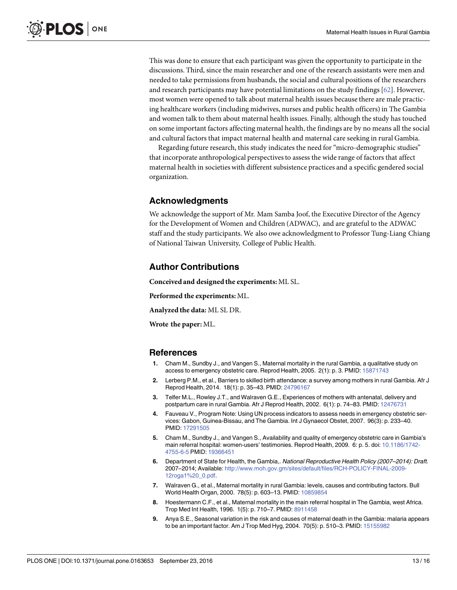<span id="page-12-0"></span>This was done to ensure that each participant was given the opportunity to participate in the discussions. Third, since the main researcher and one of the research assistants were men and needed to take permissionsfrom husbands, the social and cultural positions of the researchers and research participants may have potential limitations on the study findings  $[62]$ . However, most women were opened to talk about maternal health issues because there are male practicing healthcare workers (including midwives, nurses and public health officers)in The Gambia and women talk to them about maternal health issues. Finally, although the study has touched on some important factors affecting maternal health, the findings are by no means all the social and cultural factors that impact maternal health and maternal care seeking in rural Gambia.

Regarding future research, this study indicates the need for "micro-demographic studies" that incorporate anthropological perspectivesto assess the wide range of factors that affect maternal health in societieswith different subsistence practices and a specific gendered social organization.

## **Acknowledgments**

We acknowledge the support of Mr. Mam Samba Joof, the Executive Director of the Agency for the Development of Women and Children (ADWAC), and are grateful to the ADWAC staff and the study participants. We also owe acknowledgment to Professor Tung-Liang Chiang of National Taiwan University, College of Public Health.

#### **Author Contributions**

**Conceived and designed the experiments:** ML SL.

**Performed the experiments:** ML.

**Analyzed the data:** ML SL DR.

**Wrote the paper:** ML.

#### **References**

- **[1](#page-1-0).** Cham M., Sundby J., and Vangen S., Maternal mortality in the rural Gambia, a qualitative study on access to emergency obstetric care. Reprod Health, 2005. 2(1): p. 3. PMID: [15871743](http://www.ncbi.nlm.nih.gov/pubmed/15871743)
- **[2](#page-1-0).** Lerberg P.M., et al., Barriers to skilled birth attendance: a survey among mothers in rural Gambia. Afr J Reprod Health, 2014. 18(1): p. 35–43. PMID: [24796167](http://www.ncbi.nlm.nih.gov/pubmed/24796167)
- **[3](#page-1-0).** Telfer M.L., Rowley J.T., and Walraven G.E., Experiences of mothers with antenatal, delivery and postpartum care in rural Gambia. Afr J Reprod Health, 2002. 6(1): p. 74–83. PMID: [12476731](http://www.ncbi.nlm.nih.gov/pubmed/12476731)
- **[4](#page-1-0).** Fauveau V., Program Note: Using UN process indicators to assess needs in emergency obstetric services: Gabon, Guinea-Bissau, and The Gambia. Int J Gynaecol Obstet, 2007. 96(3): p. 233–40. PMID: [17291505](http://www.ncbi.nlm.nih.gov/pubmed/17291505)
- **[5](#page-1-0).** Cham M., Sundby J., and Vangen S., Availability and quality of emergency obstetric care in Gambia's main referral hospital: women-users' testimonies. Reprod Health, 2009. 6: p. 5. doi: [10.1186/1742-](http://dx.doi.org/10.1186/1742-4755-6-5) [4755-6-5](http://dx.doi.org/10.1186/1742-4755-6-5) PMID: [19366451](http://www.ncbi.nlm.nih.gov/pubmed/19366451)
- **[6](#page-1-0).** Department of State for Health, the Gambia,. National Reproductive Health Policy (2007–2014): Draft. 2007–2014; Available: [http://www.moh.gov.gm/sites/default/files/RCH-POLICY-FINAL-2009-](http://www.moh.gov.gm/sites/default/files/RCH-POLICY-FINAL-2009-12roga1%20_0.pdf) [12roga1%20\\_0.pdf.](http://www.moh.gov.gm/sites/default/files/RCH-POLICY-FINAL-2009-12roga1%20_0.pdf)
- **[7](#page-1-0).** Walraven G., et al., Maternal mortality in rural Gambia: levels, causes and contributing factors. Bull World Health Organ, 2000. 78(5): p. 603–13. PMID: [10859854](http://www.ncbi.nlm.nih.gov/pubmed/10859854)
- **[8](#page-1-0).** Hoestermann C.F., et al., Maternal mortality in the main referral hospital in The Gambia, west Africa. Trop Med Int Health, 1996. 1(5): p. 710–7. PMID: [8911458](http://www.ncbi.nlm.nih.gov/pubmed/8911458)
- **[9](#page-1-0).** Anya S.E., Seasonal variation in the risk and causes of maternal death in the Gambia: malaria appears to be an important factor. Am J Trop Med Hyg, 2004. 70(5): p. 510–3. PMID: [15155982](http://www.ncbi.nlm.nih.gov/pubmed/15155982)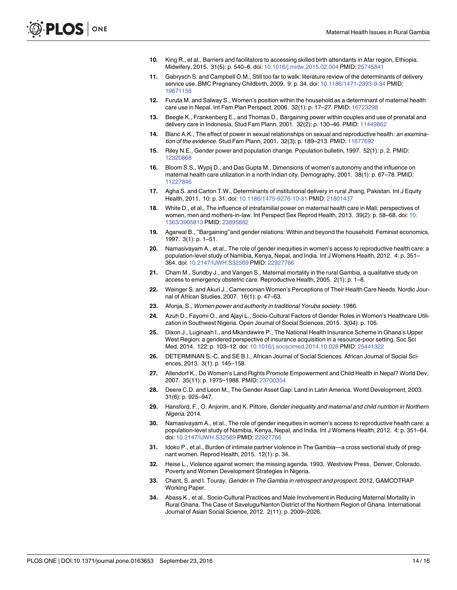- <span id="page-13-0"></span>**[10](#page-1-0).** King R., et al., Barriers and facilitators to accessing skilled birth attendants in Afar region, Ethiopia. Midwifery, 2015. 31(5): p. 540–6. doi: [10.1016/j.midw.2015.02.004](http://dx.doi.org/10.1016/j.midw.2015.02.004) PMID: [25745841](http://www.ncbi.nlm.nih.gov/pubmed/25745841)
- **[11](#page-1-0).** Gabrysch S. and Campbell O.M., Still too far to walk: literature review of the determinants of delivery service use. BMC Pregnancy Childbirth, 2009. 9: p. 34. doi: [10.1186/1471-2393-9-34](http://dx.doi.org/10.1186/1471-2393-9-34) PMID: [19671156](http://www.ncbi.nlm.nih.gov/pubmed/19671156)
- **[12](#page-1-0).** Furuta M. and Salway S., Women's position within the household as a determinant of maternal health care use in Nepal. Int Fam Plan Perspect, 2006. 32(1): p. 17–27. PMID: [16723298](http://www.ncbi.nlm.nih.gov/pubmed/16723298)
- **[13](#page-1-0).** Beegle K., Frankenberg E., and Thomas D., Bargaining power within couples and use of prenatal and delivery care in Indonesia. Stud Fam Plann, 2001. 32(2): p. 130–46. PMID: [11449862](http://www.ncbi.nlm.nih.gov/pubmed/11449862)
- **[14](#page-1-0).** Blanc A.K., The effect of power in sexual relationships on sexual and reproductive health: an examination of the evidence. Stud Fam Plann, 2001. 32(3): p. 189–213. PMID: [11677692](http://www.ncbi.nlm.nih.gov/pubmed/11677692)
- **[15](#page-1-0).** Riley N.E., Gender power and population change. Population bulletin, 1997. 52(1): p. 2. PMID: [12320868](http://www.ncbi.nlm.nih.gov/pubmed/12320868)
- **16.** Bloom S.S., Wypij D., and Das Gupta M., Dimensions of women's autonomy and the influence on maternal health care utilization in a north Indian city. Demography, 2001. 38(1): p. 67–78. PMID: [11227846](http://www.ncbi.nlm.nih.gov/pubmed/11227846)
- **17.** Agha S. and Carton T.W., Determinants of institutional delivery in rural Jhang, Pakistan. Int J Equity Health, 2011. 10: p. 31. doi: [10.1186/1475-9276-10-31](http://dx.doi.org/10.1186/1475-9276-10-31) PMID: [21801437](http://www.ncbi.nlm.nih.gov/pubmed/21801437)
- **[18](#page-1-0).** White D., et al., The influence of intrafamilial power on maternal health care in Mali: perspectives of women, men and mothers-in-law. Int Perspect Sex Reprod Health, 2013. 39(2): p. 58–68. doi: [10.](http://dx.doi.org/10.1363/3905813) [1363/3905813](http://dx.doi.org/10.1363/3905813) PMID: [23895882](http://www.ncbi.nlm.nih.gov/pubmed/23895882)
- **[19](#page-2-0).** Agarwal B., ''Bargaining''and gender relations: Within and beyond the household. Feminist economics, 1997. 3(1): p. 1–51.
- **[20](#page-2-0).** Namasivayam A., et al., The role of gender inequities in women's access to reproductive health care: a population-level study of Namibia, Kenya, Nepal, and India. Int J Womens Health, 2012. 4: p. 351– 364. doi: [10.2147/IJWH.S32569](http://dx.doi.org/10.2147/IJWH.S32569) PMID: [22927766](http://www.ncbi.nlm.nih.gov/pubmed/22927766)
- **[21](#page-2-0).** Cham M., Sundby J., and Vangen S., Maternal mortality in the rural Gambia, a qualitative study on access to emergency obstetric care. Reproductive Health, 2005. 2(1): p. 1–8.
- **[22](#page-2-0).** Weinger S. and Akuri J., Cameroonian Women's Perceptions of Their Health Care Needs. Nordic Journal of African Studies, 2007. 16(1): p. 47–63.
- **[23](#page-2-0).** Afonja, S., Women power and authority in traditional Yoruba society. 1986.
- **[24](#page-2-0).** Azuh D., Fayomi O., and Ajayi L., Socio-Cultural Factors of Gender Roles in Women's Healthcare Utilization in Southwest Nigeria. Open Journal of Social Sciences, 2015. 3(04): p. 105.
- **[25](#page-2-0).** Dixon J., Luginaah I., and Mkandawire P., The National Health Insurance Scheme in Ghana's Upper West Region: a gendered perspective of insurance acquisition in a resource-poor setting. Soc Sci Med, 2014. 122: p. 103–12. doi: [10.1016/j.socscimed.2014.10.028](http://dx.doi.org/10.1016/j.socscimed.2014.10.028) PMID: [25441322](http://www.ncbi.nlm.nih.gov/pubmed/25441322)
- **[26](#page-3-0).** DETERMINAN S.-C. and SE B.I., African Journal of Social Sciences. African Journal of Social Sciences, 2013. 3(1): p. 145–158.
- **[27](#page-3-0).** Allendorf K., Do Women's Land Rights Promote Empowerment and Child Health in Nepal? World Dev, 2007. 35(11): p. 1975–1988. PMID: [23700354](http://www.ncbi.nlm.nih.gov/pubmed/23700354)
- **[28](#page-3-0).** Deere C.D. and Leon M., The Gender Asset Gap: Land in Latin America. World Development, 2003. 31(6): p. 925–947.
- **[29](#page-3-0).** Hansford, F., O. Anjorim, and K. Pittore, Gender inequality and maternal and child nutrition in Northern Nigeria. 2014.
- **[30](#page-3-0).** Namasivayam A., et al., The role of gender inequities in women's access to reproductive health care: a population-level study of Namibia, Kenya, Nepal, and India. Int J Womens Health, 2012. 4: p. 351–64. doi: [10.2147/IJWH.S32569](http://dx.doi.org/10.2147/IJWH.S32569) PMID: [22927766](http://www.ncbi.nlm.nih.gov/pubmed/22927766)
- **[31](#page-3-0).** Idoko P., et al., Burden of intimate partner violence in The Gambia—a cross sectional study of pregnant women. Reprod Health, 2015. 12(1): p. 34.
- **[32](#page-3-0).** Heise L., Violence against women: the missing agenda. 1993, Westview Press, Denver, Colorado. Poverty and Women Development Strategies in Nigeria.
- **[33](#page-3-0).** Chant, S. and I. Touray, Gender in The Gambia in retrospect and prospect. 2012, GAMCOTRAP Working Paper.
- **[34](#page-3-0).** Abass K., et al., Socio-Cultural Practices and Male Involvement in Reducing Maternal Mortality in Rural Ghana. The Case of Savelugu/Nanton District of the Northern Region of Ghana. International Journal of Asian Social Science, 2012. 2(11): p. 2009–2026.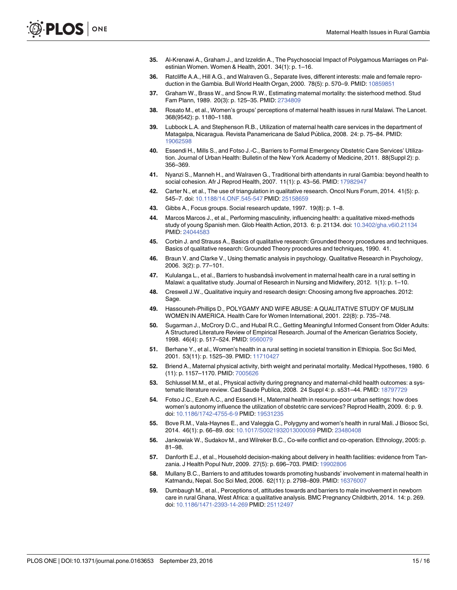- <span id="page-14-0"></span>**[35](#page-3-0).** Al-Krenawi A., Graham J., and Izzeldin A., The Psychosocial Impact of Polygamous Marriages on Palestinian Women. Women & Health, 2001. 34(1): p. 1–16.
- **[36](#page-4-0).** Ratcliffe A.A., Hill A.G., and Walraven G., Separate lives, different interests: male and female reproduction in the Gambia. Bull World Health Organ, 2000. 78(5): p. 570–9. PMID: [10859851](http://www.ncbi.nlm.nih.gov/pubmed/10859851)
- **[37](#page-4-0).** Graham W., Brass W., and Snow R.W., Estimating maternal mortality: the sisterhood method. Stud Fam Plann, 1989. 20(3): p. 125–35. PMID: [2734809](http://www.ncbi.nlm.nih.gov/pubmed/2734809)
- **[38](#page-4-0).** Rosato M., et al., Women's groups' perceptions of maternal health issues in rural Malawi. The Lancet. 368(9542): p. 1180–1188.
- **[39](#page-4-0).** Lubbock L.A. and Stephenson R.B., Utilization of maternal health care services in the department of Matagalpa, Nicaragua. Revista Panamericana de Salud Pública, 2008. 24: p. 75-84. PMID: [19062598](http://www.ncbi.nlm.nih.gov/pubmed/19062598)
- **[40](#page-4-0).** Essendi H., Mills S., and Fotso J.-C., Barriers to Formal Emergency Obstetric Care Services' Utilization. Journal of Urban Health: Bulletin of the New York Academy of Medicine, 2011. 88(Suppl 2): p. 356–369.
- **[41](#page-5-0).** Nyanzi S., Manneh H., and Walraven G., Traditional birth attendants in rural Gambia: beyond health to social cohesion. Afr J Reprod Health, 2007. 11(1): p. 43–56. PMID: [17982947](http://www.ncbi.nlm.nih.gov/pubmed/17982947)
- **[42](#page-5-0).** Carter N., et al., The use of triangulation in qualitative research. Oncol Nurs Forum, 2014. 41(5): p. 545–7. doi: [10.1188/14.ONF.545-547](http://dx.doi.org/10.1188/14.ONF.545-547) PMID: [25158659](http://www.ncbi.nlm.nih.gov/pubmed/25158659)
- **[43](#page-5-0).** Gibbs A., Focus groups. Social research update, 1997. 19(8): p. 1–8.
- **[44](#page-5-0).** Marcos Marcos J., et al., Performing masculinity, influencing health: a qualitative mixed-methods study of young Spanish men. Glob Health Action, 2013. 6: p. 21134. doi: [10.3402/gha.v6i0.21134](http://dx.doi.org/10.3402/gha.v6i0.21134) PMID: [24044583](http://www.ncbi.nlm.nih.gov/pubmed/24044583)
- **[45](#page-5-0).** Corbin J. and Strauss A., Basics of qualitative research: Grounded theory procedures and techniques. Basics of qualitative research: Grounded Theory procedures and techniques, 1990. 41.
- **[46](#page-5-0).** Braun V. and Clarke V., Using thematic analysis in psychology. Qualitative Research in Psychology, 2006. 3(2): p. 77–101.
- **[47](#page-6-0).** Kululanga L., et al., Barriers to husbandsaˆ involvement in maternal health care in a rural setting in Malawi: a qualitative study. Journal of Research in Nursing and Midwifery, 2012. 1(1): p. 1–10.
- **[48](#page-6-0).** Creswell J.W., Qualitative inquiry and research design: Choosing among five approaches. 2012: Sage.
- **[49](#page-6-0).** Hassouneh-Phillips D., POLYGAMY AND WIFE ABUSE: A QUALITATIVE STUDY OF MUSLIM WOMEN IN AMERICA. Health Care for Women International, 2001. 22(8): p. 735–748.
- **[50](#page-6-0).** Sugarman J., McCrory D.C., and Hubal R.C., Getting Meaningful Informed Consent from Older Adults: A Structured Literature Review of Empirical Research. Journal of the American Geriatrics Society, 1998. 46(4): p. 517–524. PMID: [9560079](http://www.ncbi.nlm.nih.gov/pubmed/9560079)
- **[51](#page-10-0).** Berhane Y., et al., Women's health in a rural setting in societal transition in Ethiopia. Soc Sci Med, 2001. 53(11): p. 1525-39. PMID: [11710427](http://www.ncbi.nlm.nih.gov/pubmed/11710427)
- **[52](#page-10-0).** Briend A., Maternal physical activity, birth weight and perinatal mortality. Medical Hypotheses, 1980. 6 (11): p. 1157–1170. PMID: [7005626](http://www.ncbi.nlm.nih.gov/pubmed/7005626)
- **[53](#page-10-0).** Schlussel M.M., et al., Physical activity during pregnancy and maternal-child health outcomes: a systematic literature review. Cad Saude Publica, 2008. 24 Suppl 4: p. s531–44. PMID: [18797729](http://www.ncbi.nlm.nih.gov/pubmed/18797729)
- **[54](#page-11-0).** Fotso J.C., Ezeh A.C., and Essendi H., Maternal health in resource-poor urban settings: how does women's autonomy influence the utilization of obstetric care services? Reprod Health, 2009. 6: p. 9. doi: [10.1186/1742-4755-6-9](http://dx.doi.org/10.1186/1742-4755-6-9) PMID: [19531235](http://www.ncbi.nlm.nih.gov/pubmed/19531235)
- **[55](#page-11-0).** Bove R.M., Vala-Haynes E., and Valeggia C., Polygyny and women's health in rural Mali. J Biosoc Sci, 2014. 46(1): p. 66–89. doi: [10.1017/S0021932013000059](http://dx.doi.org/10.1017/S0021932013000059) PMID: [23480408](http://www.ncbi.nlm.nih.gov/pubmed/23480408)
- **[56](#page-11-0).** Jankowiak W., Sudakov M., and Wilreker B.C., Co-wife conflict and co-operation. Ethnology, 2005: p. 81–98.
- **[57](#page-11-0).** Danforth E.J., et al., Household decision-making about delivery in health facilities: evidence from Tanzania. J Health Popul Nutr, 2009. 27(5): p. 696–703. PMID: [19902806](http://www.ncbi.nlm.nih.gov/pubmed/19902806)
- **[58](#page-11-0).** Mullany B.C., Barriers to and attitudes towards promoting husbands' involvement in maternal health in Katmandu, Nepal. Soc Sci Med, 2006. 62(11): p. 2798–809. PMID: [16376007](http://www.ncbi.nlm.nih.gov/pubmed/16376007)
- **59.** Dumbaugh M., et al., Perceptions of, attitudes towards and barriers to male involvement in newborn care in rural Ghana, West Africa: a qualitative analysis. BMC Pregnancy Childbirth, 2014. 14: p. 269. doi: [10.1186/1471-2393-14-269](http://dx.doi.org/10.1186/1471-2393-14-269) PMID: [25112497](http://www.ncbi.nlm.nih.gov/pubmed/25112497)